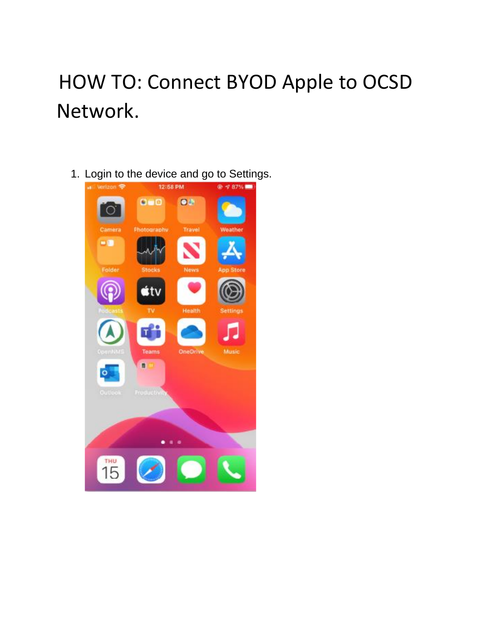## HOW TO: Connect BYOD Apple to OCSD Network.

1. Login to the device and go to Settings.

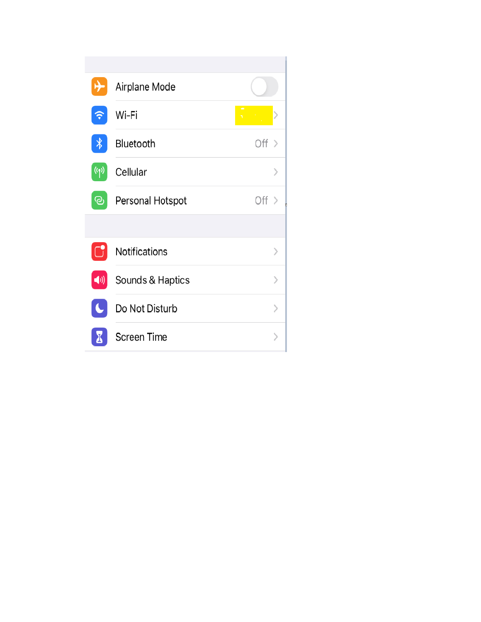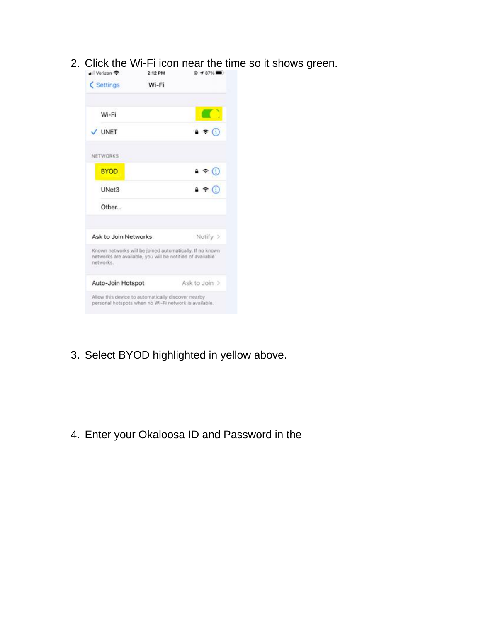2. Click the Wi-Fi icon near the time so it shows green.

| . Verizon →                                                                                                                        | 2:12 PM | @487%               |
|------------------------------------------------------------------------------------------------------------------------------------|---------|---------------------|
| < Settings                                                                                                                         | Wi-Fi   |                     |
| Wi-Fi                                                                                                                              |         |                     |
| V UNET                                                                                                                             |         | Œ                   |
| <b>NETWORKS</b>                                                                                                                    |         |                     |
| <b>BYOD</b>                                                                                                                        |         | $\circ \circ \circ$ |
| UNet3                                                                                                                              |         | $\bullet \in (i)$   |
| Other                                                                                                                              |         |                     |
| Ask to Join Networks                                                                                                               |         | Notify >            |
| Known networks will be joined automatically. If no known<br>networks are available, you will be notified of available<br>networks. |         |                     |
| Auto-Join Hotspot                                                                                                                  |         | Ask to Join >       |
| Allow this device to automatically discover nearby<br>personal hotspots when no Wi-Fi network is available.                        |         |                     |

3. Select BYOD highlighted in yellow above.

4. Enter your Okaloosa ID and Password in the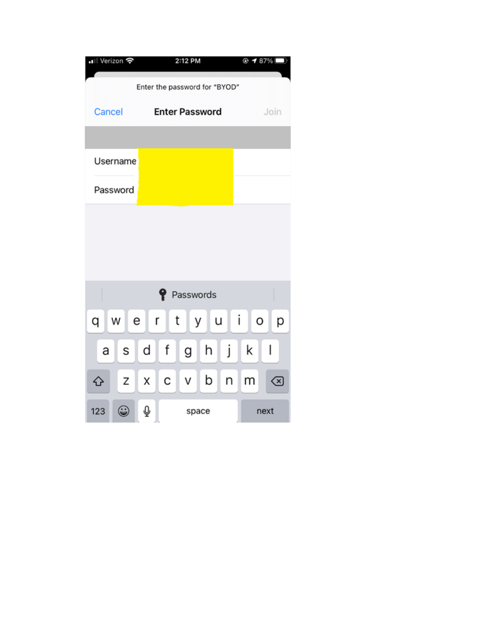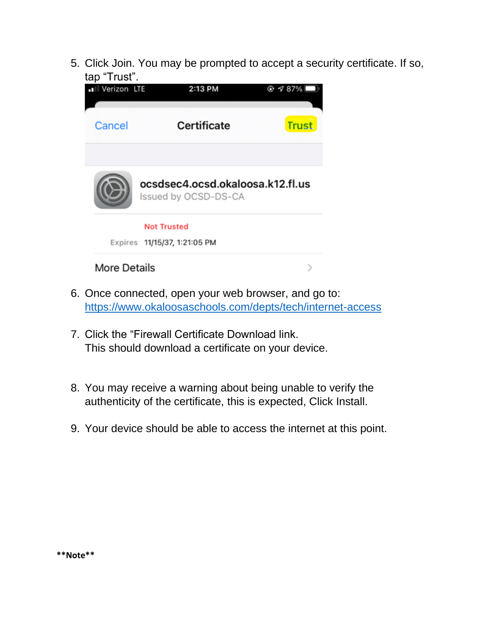5. Click Join. You may be prompted to accept a security certificate. If so, tap "Trust".



- 6. Once connected, open your web browser, and go to: <https://www.okaloosaschools.com/depts/tech/internet-access>
- 7. Click the "Firewall Certificate Download link. This should download a certificate on your device.
- 8. You may receive a warning about being unable to verify the authenticity of the certificate, this is expected, Click Install.
- 9. Your device should be able to access the internet at this point.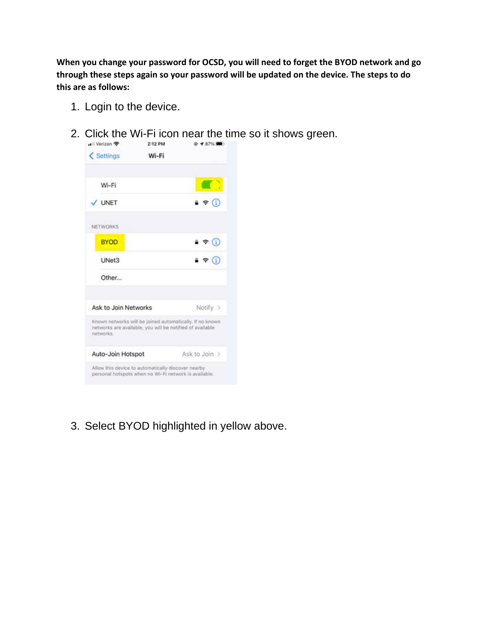**When you change your password for OCSD, you will need to forget the BYOD network and go through these steps again so your password will be updated on the device. The steps to do this are as follows:**

- 1. Login to the device.
- 2. Click the Wi-Fi icon near the time so it shows green.



3. Select BYOD highlighted in yellow above.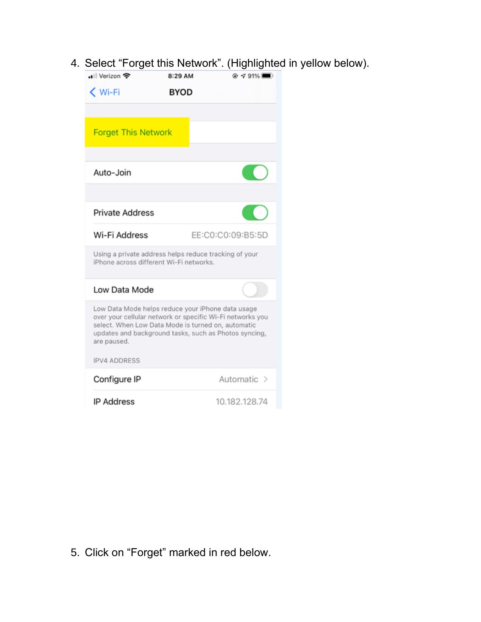4. Select "Forget this Network". (Highlighted in yellow below).

| • Verizon                                                                                                                                                                                                                                    | 8:29 AM     | $@491\%$ $\blacksquare$ |  |  |  |
|----------------------------------------------------------------------------------------------------------------------------------------------------------------------------------------------------------------------------------------------|-------------|-------------------------|--|--|--|
| K Wi-Fi                                                                                                                                                                                                                                      | <b>BYOD</b> |                         |  |  |  |
| <b>Forget This Network</b>                                                                                                                                                                                                                   |             |                         |  |  |  |
| Auto-Join                                                                                                                                                                                                                                    |             |                         |  |  |  |
| <b>Private Address</b>                                                                                                                                                                                                                       |             |                         |  |  |  |
| Wi-Fi Address                                                                                                                                                                                                                                |             | EE:C0:C0:09:B5:5D       |  |  |  |
| Using a private address helps reduce tracking of your<br>iPhone across different Wi-Fi networks.                                                                                                                                             |             |                         |  |  |  |
| Low Data Mode                                                                                                                                                                                                                                |             |                         |  |  |  |
| Low Data Mode helps reduce your iPhone data usage<br>over your cellular network or specific Wi-Fi networks you<br>select. When Low Data Mode is turned on, automatic<br>updates and background tasks, such as Photos syncing,<br>are paused. |             |                         |  |  |  |
| <b>IPV4 ADDRESS</b>                                                                                                                                                                                                                          |             |                         |  |  |  |
| Configure IP                                                                                                                                                                                                                                 |             | Automatic >             |  |  |  |
| <b>IP Address</b>                                                                                                                                                                                                                            |             | 10.182.128.74           |  |  |  |

5. Click on "Forget" marked in red below.